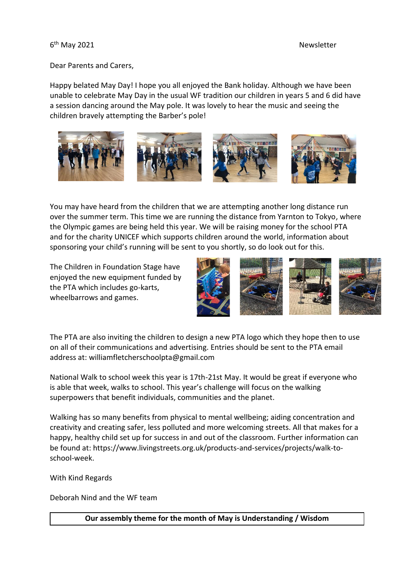# 6<sup>th</sup> May 2021 **Newsletter**

Dear Parents and Carers,

Happy belated May Day! I hope you all enjoyed the Bank holiday. Although we have been unable to celebrate May Day in the usual WF tradition our children in years 5 and 6 did have a session dancing around the May pole. It was lovely to hear the music and seeing the children bravely attempting the Barber's pole!



You may have heard from the children that we are attempting another long distance run over the summer term. This time we are running the distance from Yarnton to Tokyo, where the Olympic games are being held this year. We will be raising money for the school PTA and for the charity UNICEF which supports children around the world, information about sponsoring your child's running will be sent to you shortly, so do look out for this.

The Children in Foundation Stage have enjoyed the new equipment funded by the PTA which includes go-karts, wheelbarrows and games.



The PTA are also inviting the children to design a new PTA logo which they hope then to use on all of their communications and advertising. Entries should be sent to the PTA email address at: williamfletcherschoolpta@gmail.com

National Walk to school week this year is 17th-21st May. It would be great if everyone who is able that week, walks to school. This year's challenge will focus on the walking superpowers that benefit individuals, communities and the planet.

Walking has so many benefits from physical to mental wellbeing; aiding concentration and creativity and creating safer, less polluted and more welcoming streets. All that makes for a happy, healthy child set up for success in and out of the classroom. Further information can be found at: https://www.livingstreets.org.uk/products-and-services/projects/walk-toschool-week.

With Kind Regards

Deborah Nind and the WF team

**Our assembly theme for the month of May is Understanding / Wisdom**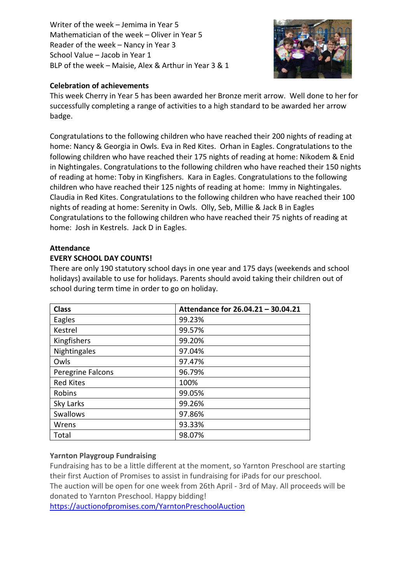Writer of the week – Jemima in Year 5 Mathematician of the week – Oliver in Year 5 Reader of the week – Nancy in Year 3 School Value – Jacob in Year 1 BLP of the week – Maisie, Alex & Arthur in Year 3 & 1



## **Celebration of achievements**

This week Cherry in Year 5 has been awarded her Bronze merit arrow. Well done to her for successfully completing a range of activities to a high standard to be awarded her arrow badge.

Congratulations to the following children who have reached their 200 nights of reading at home: Nancy & Georgia in Owls. Eva in Red Kites. Orhan in Eagles. Congratulations to the following children who have reached their 175 nights of reading at home: Nikodem & Enid in Nightingales. Congratulations to the following children who have reached their 150 nights of reading at home: Toby in Kingfishers. Kara in Eagles. Congratulations to the following children who have reached their 125 nights of reading at home: Immy in Nightingales. Claudia in Red Kites. Congratulations to the following children who have reached their 100 nights of reading at home: Serenity in Owls. Olly, Seb, Millie & Jack B in Eagles Congratulations to the following children who have reached their 75 nights of reading at home: Josh in Kestrels. Jack D in Eagles.

## **Attendance**

## **EVERY SCHOOL DAY COUNTS!**

There are only 190 statutory school days in one year and 175 days (weekends and school holidays) available to use for holidays. Parents should avoid taking their children out of school during term time in order to go on holiday.

| <b>Class</b>      | Attendance for 26.04.21 - 30.04.21 |
|-------------------|------------------------------------|
| Eagles            | 99.23%                             |
| Kestrel           | 99.57%                             |
| Kingfishers       | 99.20%                             |
| Nightingales      | 97.04%                             |
| Owls              | 97.47%                             |
| Peregrine Falcons | 96.79%                             |
| <b>Red Kites</b>  | 100%                               |
| Robins            | 99.05%                             |
| Sky Larks         | 99.26%                             |
| <b>Swallows</b>   | 97.86%                             |
| Wrens             | 93.33%                             |
| Total             | 98.07%                             |

# **Yarnton Playgroup Fundraising**

Fundraising has to be a little different at the moment, so Yarnton Preschool are starting their first Auction of Promises to assist in fundraising for iPads for our preschool. The auction will be open for one week from 26th April - 3rd of May. All proceeds will be donated to Yarnton Preschool. Happy bidding!

<https://auctionofpromises.com/YarntonPreschoolAuction>